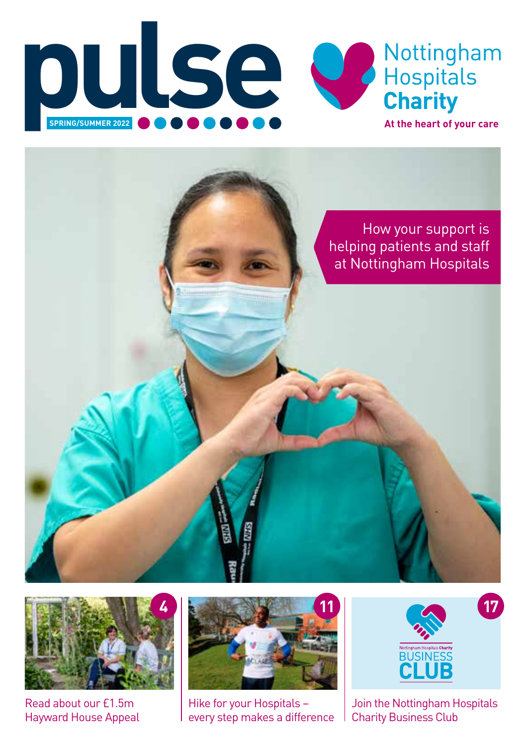





Read about our £1.5m Hayward House Appeal



Hike for your Hospitals – every step makes a difference



Join the Nottingham Hospitals Charity Business Club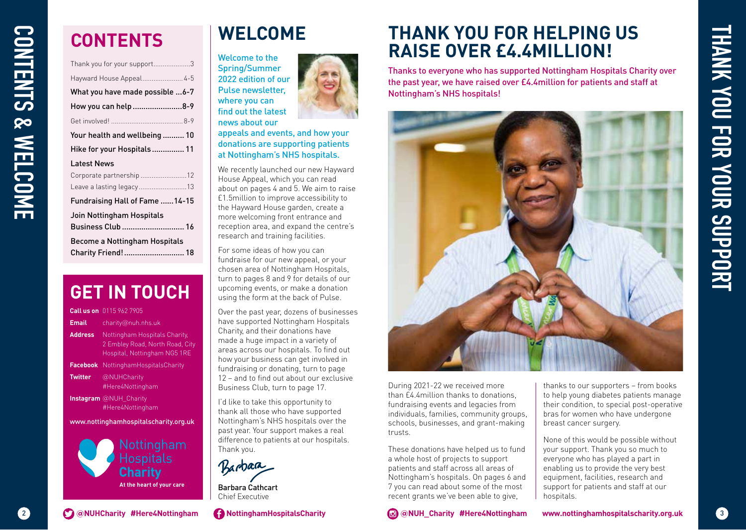# **CONTENTS**

|                                                  | <b>CONTENTS</b>                                                                                                                                                                                                                     | <b>WELCOME</b>                                                                                                                                                                                                                                                                                                         |
|--------------------------------------------------|-------------------------------------------------------------------------------------------------------------------------------------------------------------------------------------------------------------------------------------|------------------------------------------------------------------------------------------------------------------------------------------------------------------------------------------------------------------------------------------------------------------------------------------------------------------------|
|                                                  | Thank you for your support3<br>Hayward House Appeal 4-5<br>What you have made possible  6-7<br>How you can help 8-9<br>Your health and wellbeing  10<br>Hike for your Hospitals  11                                                 | Welcome to the<br><b>Spring/Summer</b><br>2022 edition of our<br>Pulse newsletter,<br>where you can<br>find out the latest<br>news about our<br>appeals and events, and how<br>donations are supporting pa<br>at Nottingham's NHS hospit                                                                               |
| <b>Latest News</b>                               | Corporate partnership 12<br>Leave a lasting legacy13<br>Fundraising Hall of Fame  14-15<br>Join Nottingham Hospitals<br>Business Club  16<br><b>Become a Nottingham Hospitals</b><br>Charity Friend! 18                             | We recently launched our new I<br>House Appeal, which you can re<br>about on pages 4 and 5. We aim<br>£1.5million to improve accessib<br>the Hayward House garden, cre<br>more welcoming front entrance<br>reception area, and expand the<br>research and training facilities.<br>For some ideas of how you can        |
|                                                  | <b>GET IN TOUCH</b>                                                                                                                                                                                                                 | fundraise for our new appeal, o<br>chosen area of Nottingham Ho:<br>turn to pages 8 and 9 for details<br>upcoming events, or make a do<br>using the form at the back of P                                                                                                                                              |
| <b>Email</b><br><b>Address</b><br><b>Twitter</b> | <b>Call us on</b> 0115 962 7905<br>charity@nuh.nhs.uk<br>Nottingham Hospitals Charity,<br>2 Embley Road, North Road, City<br>Hospital, Nottingham NG5 1RE<br>Facebook NottinghamHospitalsCharity<br>@NUHCharity<br>#Here4Nottingham | Over the past year, dozens of bu<br>have supported Nottingham Ho<br>Charity, and their donations hav<br>made a huge impact in a variet<br>areas across our hospitals. To f<br>how your business can get invo<br>fundraising or donating, turn to<br>12 - and to find out about our e<br>Business Club, turn to page 17 |
|                                                  | Instagram @NUH_Charity<br>#Here4Nottingham<br>www.nottinghamhospitalscharity.org.uk<br>Nottingham<br>Hospitals                                                                                                                      | I'd like to take this opportunity<br>thank all those who have suppo<br>Nottingham's NHS hospitals ov<br>past year. Your support makes<br>difference to patients at our ho:<br>Thank you.                                                                                                                               |
|                                                  | <b>Charity</b><br>At the heart of your care                                                                                                                                                                                         | Barbara<br>Barbara Cathcart<br>Chief Executive                                                                                                                                                                                                                                                                         |
|                                                  | C @NUHCharity #Here4Nottingham                                                                                                                                                                                                      | NottinghamHospitalsCharity                                                                                                                                                                                                                                                                                             |

### **GET IN TOUCH**

|                                       | <b>Call us on</b> 0115 962 7905                                                                  |  |
|---------------------------------------|--------------------------------------------------------------------------------------------------|--|
| <b>Email</b>                          | charity@nuh.nhs.uk                                                                               |  |
| <b>Address</b>                        | Nottingham Hospitals Charity.<br>2 Embley Road, North Road, City<br>Hospital, Nottingham NG5 1RE |  |
| <b>Facebook</b>                       | NottinghamHospitalsCharity                                                                       |  |
| <b>Twitter</b>                        | @NUHCharity<br>#Here4Nottingham                                                                  |  |
|                                       | <b>Instagram</b> @NUH Charity<br>#Here4Nottingham                                                |  |
| www.nottinghamhospitalscharity.org.uk |                                                                                                  |  |
| Nottingham                            |                                                                                                  |  |



Chief Executive

**WELCOME**

appeals and events, and how your donations are supporting patients at Nottingham's NHS hospitals. We recently launched our new Hayward House Appeal, which you can read about on pages 4 and 5. We aim to raise £1.5million to improve accessibility to the Hayward House garden, create a more welcoming front entrance and reception area, and expand the centre's

research and training facilities. For some ideas of how you can fundraise for our new appeal, or your chosen area of Nottingham Hospitals, turn to pages 8 and 9 for details of our upcoming events, or make a donation using the form at the back of Pulse. Over the past year, dozens of businesses have supported Nottingham Hospitals Charity, and their donations have made a huge impact in a variety of areas across our hospitals. To find out how your business can get involved in fundraising or donating, turn to page 12 – and to find out about our exclusive Business Club, turn to page 17. I'd like to take this opportunity to thank all those who have supported Nottingham's NHS hospitals over the past year. Your support makes a real difference to patients at our hospitals.

### **THANK YOU FOR HELPING US RAISE OVER £4.4MILLION!**

Thanks to everyone who has supported Nottingham Hospitals Charity over the past year, we have raised over £4.4million for patients and staff at Nottingham's NHS hospitals!



During 2021-22 we received more than £4.4million thanks to donations, fundraising events and legacies from individuals, families, community groups, schools, businesses, and grant-making trusts.

These donations have helped us to fund a whole host of projects to support patients and staff across all areas of Nottingham's hospitals. On pages 6 and 7 you can read about some of the most recent grants we've been able to give,

thanks to our supporters – from books to help young diabetes patients manage their condition, to special post-operative bras for women who have undergone breast cancer surgery.

None of this would be possible without your support. Thank you so much to everyone who has played a part in enabling us to provide the very best equipment, facilities, research and support for patients and staff at our hospitals.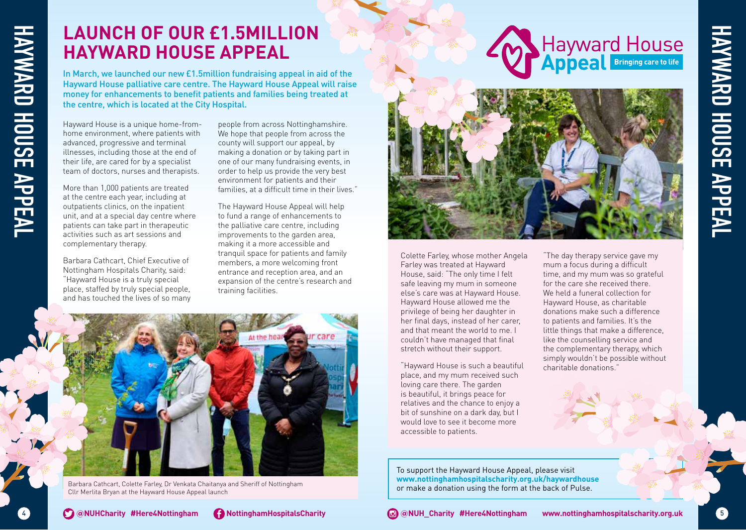### **LAUNCH OF OUR £1.5MILLION HAYWARD HOUSE APPEAL**

In March, we launched our new £1.5million fundraising appeal in aid of the Hayward House palliative care centre. The Hayward House Appeal will raise money for enhancements to benefit patients and families being treated at the centre, which is located at the City Hospital.

Hayward House is a unique home-fromhome environment, where patients with advanced, progressive and terminal illnesses, including those at the end of their life, are cared for by a specialist team of doctors, nurses and therapists.

More than 1,000 patients are treated at the centre each year, including at outpatients clinics, on the inpatient unit, and at a special day centre where patients can take part in therapeutic activities such as art sessions and complementary therapy.

Barbara Cathcart, Chief Executive of Nottingham Hospitals Charity, said: "Hayward House is a truly special place, staffed by truly special people, and has touched the lives of so many

people from across Nottinghamshire. We hope that people from across the county will support our appeal, by making a donation or by taking part in one of our many fundraising events, in order to help us provide the very best environment for patients and their families, at a difficult time in their lives."

The Hayward House Appeal will help to fund a range of enhancements to the palliative care centre, including improvements to the garden area, making it a more accessible and tranquil space for patients and family members, a more welcoming front entrance and reception area, and an expansion of the centre's research and training facilities.



Barbara Cathcart, Colette Farley, Dr Venkata Chaitanya and Sheriff of Nottingham Cllr Merlita Bryan at the Hayward House Appeal launch





Colette Farley, whose mother Angela Farley was treated at Hayward House, said: "The only time I felt safe leaving my mum in someone else's care was at Hayward House. Hayward House allowed me the privilege of being her daughter in her final days, instead of her carer, and that meant the world to me. I couldn't have managed that final stretch without their support.

"Hayward House is such a beautiful place, and my mum received such loving care there. The garden is beautiful, it brings peace for relatives and the chance to enjoy a bit of sunshine on a dark day, but I would love to see it become more accessible to patients.

"The day therapy service gave my mum a focus during a difficult time, and my mum was so grateful for the care she received there. We held a funeral collection for Hayward House, as charitable donations make such a difference to patients and families. It's the little things that make a difference, like the counselling service and the complementary therapy, which simply wouldn't be possible without charitable donations."

**HAYWARD HOUSE APPEAL**

**HAYWARD HOUSE APPEAL** 

To support the Hayward House Appeal, please visit **www.nottinghamhospitalscharity.org.uk/haywardhouse** or make a donation using the form at the back of Pulse.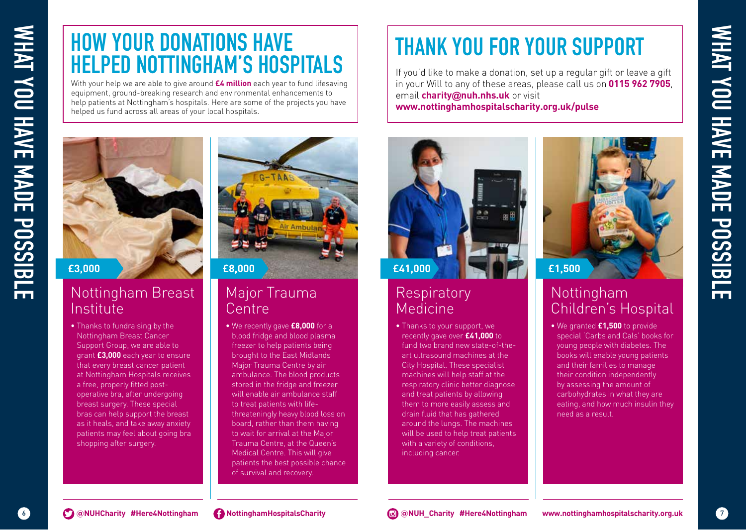# **HOW YOUR DONATIONS HAVE HELPED NOTTINGHAM'S HOSPITALS**

With your help we are able to give around **£4 million** each year to fund lifesaving equipment, ground-breaking research and environmental enhancements to help patients at Nottingham's hospitals. Here are some of the projects you have helped us fund across all areas of your local hospitals.

# **EXAMPLE DESCRIPTION AND SHAVE HELPED NOTTINGHAM'S HOSPITAL**<br> **EXAMPLE DESCRIPTION AND SHAVE MADE POSSIBLE DESCRIPTION AND SHAVE MADE POSSIBLE DESCRIPTION AND STRUCTURE OF TRANSPORTED AND SURFACE OF TRANSPORTED AND SURFACE**

### Nottingham Breast Institute

• Thanks to fundraising by the Nottingham Breast Cancer Support Group, we are able to grant **£3,000** each year to ensure that every breast cancer patient at Nottingham Hospitals receives a free, properly fitted postoperative bra, after undergoing breast surgery. These special bras can help support the breast as it heals, and take away anxiety patients may feel about going bra shopping after surgery.



### Major Trauma Centre

• We recently gave **£8,000** for a blood fridge and blood plasma freezer to help patients being brought to the East Midlands Major Trauma Centre by air ambulance. The blood products stored in the fridge and freezer will enable air ambulance staff to treat patients with lifethreateningly heavy blood loss on board, rather than them having to wait for arrival at the Major Trauma Centre, at the Queen's Medical Centre. This will give patients the best possible chance of survival and recovery.

# **THANK YOU FOR YOUR SUPPORT**

If you'd like to make a donation, set up a regular gift or leave a gift in your Will to any of these areas, please call us on **0115 962 7905**, email **charity@nuh.nhs.uk** or visit **www.nottinghamhospitalscharity.org.uk/pulse**



### **Respiratory** Medicine

• Thanks to your support, we recently gave over **£41,000** to fund two brand new state-of-theart ultrasound machines at the City Hospital. These specialist machines will help staff at the respiratory clinic better diagnose and treat patients by allowing them to more easily assess and drain fluid that has gathered around the lungs. The machines will be used to help treat patients with a variety of conditions, including cancer.



### Nottingham Children's Hospital

• We granted **£1,500** to provide special 'Carbs and Cals' books for young people with diabetes. The books will enable young patients and their families to manage their condition independently by assessing the amount of carbohydrates in what they are eating, and how much insulin they need as a result.

WHAT YOU HAVE MADE POSSIBLE **WHAT YOU HAVE MADE POSSIBLE**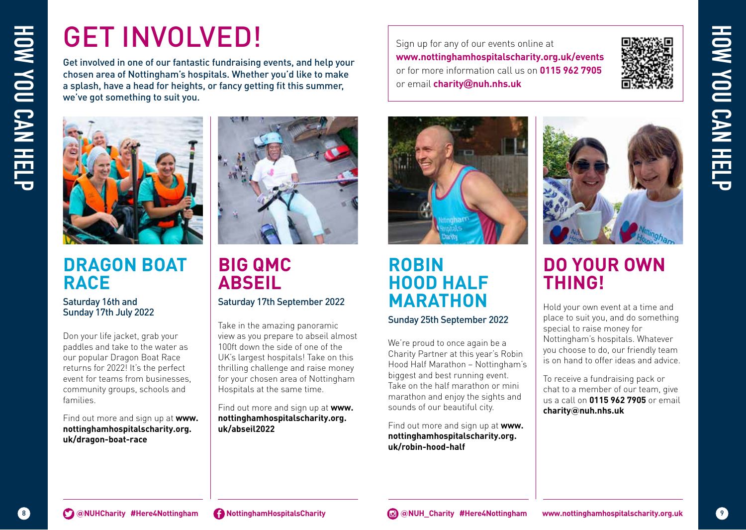# GET INVOLVED!

Get involved in one of our fantastic fundraising events, and help your chosen area of Nottingham's hospitals. Whether you'd like to make a splash, have a head for heights, or fancy getting fit this summer, we've got something to suit you.



### **DRAGON BOAT RACE**

### Saturday 16th and Sunday 17th July 2022

Don your life jacket, grab your paddles and take to the water as our popular Dragon Boat Race returns for 2022! It's the perfect event for teams from businesses, community groups, schools and families.

Find out more and sign up at **www. nottinghamhospitalscharity.org. uk/dragon-boat-race**



# **BIG QMC ABSEIL**

Saturday 17th September 2022

Take in the amazing panoramic view as you prepare to abseil almost 100ft down the side of one of the UK's largest hospitals! Take on this thrilling challenge and raise money for your chosen area of Nottingham Hospitals at the same time.

Find out more and sign up at **www. nottinghamhospitalscharity.org. uk/abseil2022**

Sign up for any of our events online at **www.nottinghamhospitalscharity.org.uk/events** or for more information call us on **0115 962 7905** or email **charity@nuh.nhs.uk**



**HOW YOU CAN HELP**

HOW YOU CAN HELF



### **ROBIN HOOD HALF MARATHON** Sunday 25th September 2022

We're proud to once again be a Charity Partner at this year's Robin Hood Half Marathon – Nottingham's biggest and best running event. Take on the half marathon or mini marathon and enjoy the sights and sounds of our beautiful city.

Find out more and sign up at **www. nottinghamhospitalscharity.org. uk/robin-hood-half** 



### **DO YOUR OWN THING!**

To receive a fundraising pack or chat to a member of our team, give us a call on **0115 962 7905** or email **charity@nuh.nhs.uk**

Hold your own event at a time and place to suit you, and do something special to raise money for Nottingham's hospitals. Whatever you choose to do, our friendly team is on hand to offer ideas and advice.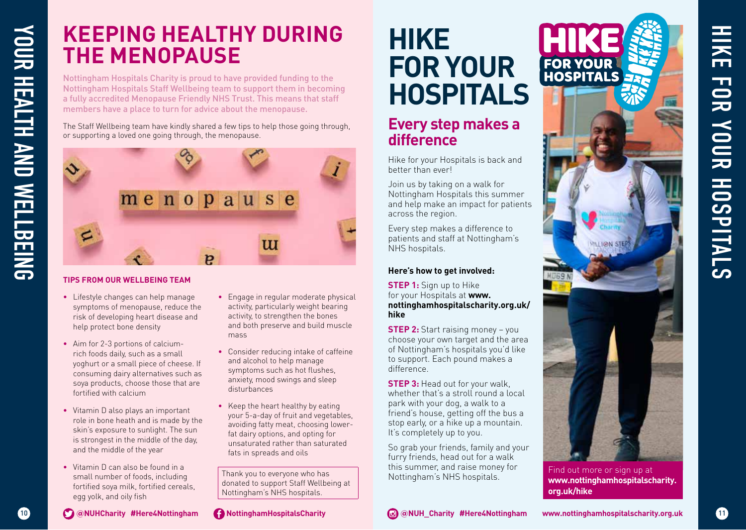# **KEEPING HEALTHY DURING THE MENOPAUSE**

Nottingham Hospitals Charity is proud to have provided funding to the Nottingham Hospitals Staff Wellbeing team to support them in becoming a fully accredited Menopause Friendly NHS Trust. This means that staff members have a place to turn for advice about the menopause.

The Staff Wellbeing team have kindly shared a few tips to help those going through, or supporting a loved one going through, the menopause.



### **TIPS FROM OUR WELLBEING TEAM**

- Lifestyle changes can help manage symptoms of menopause, reduce the risk of developing heart disease and help protect bone density
- Aim for 2-3 portions of calciumrich foods daily, such as a small yoghurt or a small piece of cheese. If consuming dairy alternatives such as soya products, choose those that are fortified with calcium
- Vitamin D also plays an important role in bone heath and is made by the skin's exposure to sunlight. The sun is strongest in the middle of the day, and the middle of the year
- Vitamin D can also be found in a small number of foods, including fortified soya milk, fortified cereals, egg yolk, and oily fish
- Engage in regular moderate physical activity, particularly weight bearing activity, to strengthen the bones and both preserve and build muscle mass
- Consider reducing intake of caffeine and alcohol to help manage symptoms such as hot flushes, anxiety, mood swings and sleep disturbances
- Keep the heart healthy by eating your 5-a-day of fruit and vegetables, avoiding fatty meat, choosing lowerfat dairy options, and opting for unsaturated rather than saturated fats in spreads and oils

Thank you to everyone who has donated to support Staff Wellbeing at Nottingham's NHS hospitals.

### **@NUHCharity #Here4Nottingham NottinghamHospitalsCharity**

# **HIKE FOR YOUR HOSPITALS**

### **Every step makes a difference**

Hike for your Hospitals is back and better than ever!

Join us by taking on a walk for Nottingham Hospitals this summer and help make an impact for patients across the region.

Every step makes a difference to patients and staff at Nottingham's NHS hospitals.

### **Here's how to get involved:**

**STEP 1:** Sign up to Hike for your Hospitals at **www. nottinghamhospitalscharity.org.uk/ hike** 

**STEP 2:** Start raising money - you choose your own target and the area of Nottingham's hospitals you'd like to support. Each pound makes a difference.

**STEP 3: Head out for your walk.** whether that's a stroll round a local park with your dog, a walk to a friend's house, getting off the bus a stop early, or a hike up a mountain. It's completely up to you.

So grab your friends, family and your furry friends, head out for a walk this summer, and raise money for Nottingham's NHS hospitals.



**HIKE FOR YOUR HOSPITALS**

YOUR HOSPITALS

H<br>KE

**HOS** 

11

Find out more or sign up at **www.nottinghamhospitalscharity. org.uk/hike**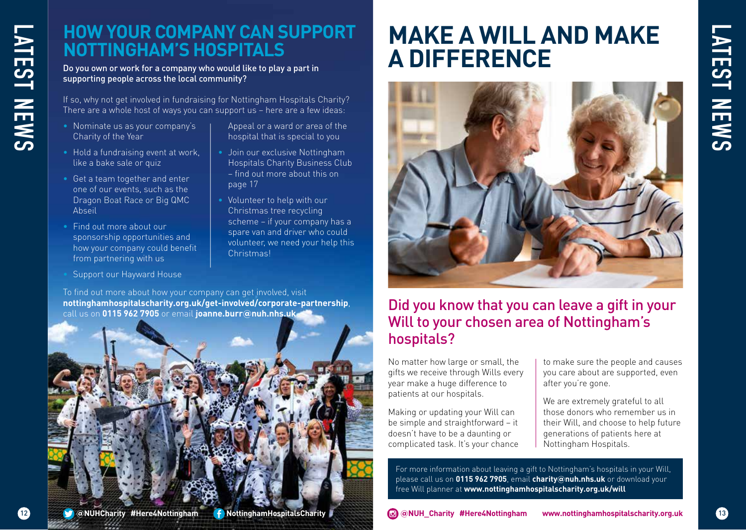# 12 **LATEST NEWS ATEST NEWS**

### **HOW YOUR COMPANY CAN SUPPORT NOTTINGHAM'S HOSPITALS**

Do you own or work for a company who would like to play a part in supporting people across the local community?

If so, why not get involved in fundraising for Nottingham Hospitals Charity? There are a whole host of ways you can support us – here are a few ideas:

- Nominate us as your company's Charity of the Year
- Hold a fundraising event at work, like a bake sale or quiz
- Get a team together and enter one of our events, such as the Dragon Boat Race or Big QMC Abseil
- Find out more about our sponsorship opportunities and how your company could benefit from partnering with us
- Support our Hayward House
- Appeal or a ward or area of the hospital that is special to you
- Join our exclusive Nottingham Hospitals Charity Business Club – find out more about this on page 17
- Volunteer to help with our Christmas tree recycling scheme – if your company has a spare van and driver who could volunteer, we need your help this Christmas!

To find out more about how your company can get involved, visit **nottinghamhospitalscharity.org.uk/get-involved/corporate-partnership**, call us on **0115 962 7905** or email **joanne.burr@nuh.nhs.uk**



# **MAKE A WILL AND MAKE A DIFFERENCE**



### Did you know that you can leave a gift in your Will to your chosen area of Nottingham's hospitals?

No matter how large or small, the gifts we receive through Wills every year make a huge difference to patients at our hospitals.

Making or updating your Will can be simple and straightforward – it doesn't have to be a daunting or complicated task. It's your chance

to make sure the people and causes you care about are supported, even after you're gone.

We are extremely grateful to all those donors who remember us in their Will, and choose to help future generations of patients here at Nottingham Hospitals.

For more information about leaving a gift to Nottingham's hospitals in your Will, please call us on **0115 962 7905**, email **charity@nuh.nhs.uk** or download your free Will planner at **www.nottinghamhospitalscharity.org.uk/will**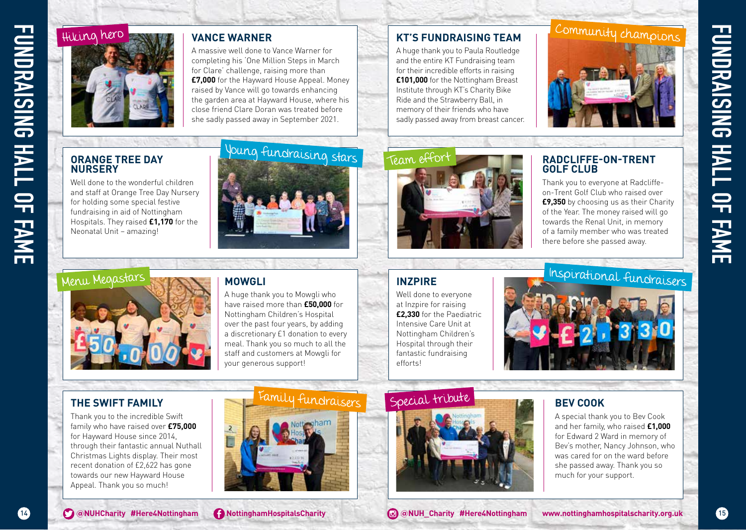

### **VANCE WARNER**

A massive well done to Vance Warner for completing his 'One Million Steps in March for Clare' challenge, raising more than **£7,000** for the Hayward House Appeal. Money raised by Vance will go towards enhancing the garden area at Hayward House, where his close friend Clare Doran was treated before she sadly passed away in September 2021.

### **ORANGE TREE DAY NURSERY**

Well done to the wonderful children and staff at Orange Tree Day Nursery for holding some special festive fundraising in aid of Nottingham Hospitals. They raised **£1,170** for the Neonatal Unit – amazing!



### **KT'S FUNDRAISING TEAM**

A huge thank you to Paula Routledge and the entire KT Fundraising team for their incredible efforts in raising **£101,000** for the Nottingham Breast Institute through KT's Charity Bike Ride and the Strawberry Ball, in memory of their friends who have sadly passed away from breast cancer.



### **RADCLIFFE-ON-TRENT GOLF CLUB**

Community champions

Thank you to everyone at Radcliffeon-Trent Golf Club who raised over **£9,350** by choosing us as their Charity of the Year. The money raised will go towards the Renal Unit, in memory of a family member who was treated there before she passed away.



### **MOWGLI**

A huge thank you to Mowgli who have raised more than **£50,000** for Nottingham Children's Hospital over the past four years, by adding a discretionary £1 donation to every meal. Thank you so much to all the staff and customers at Mowgli for your generous support!

### **INZPIRE**

Well done to everyone at Inzpire for raising **£2,330** for the Paediatric Intensive Care Unit at Nottingham Children's Hospital through their fantastic fundraising efforts!



### **THE SWIFT FAMILY**

Thank you to the incredible Swift family who have raised over **£75,000** for Hayward House since 2014, through their fantastic annual Nuthall Christmas Lights display. Their most recent donation of £2,622 has gone towards our new Hayward House Appeal. Thank you so much!



### Special tribute



### **BEV COOK**

A special thank you to Bev Cook and her family, who raised **£1,000** for Edward 2 Ward in memory of Bev's mother, Nancy Johnson, who was cared for on the ward before she passed away. Thank you so much for your support.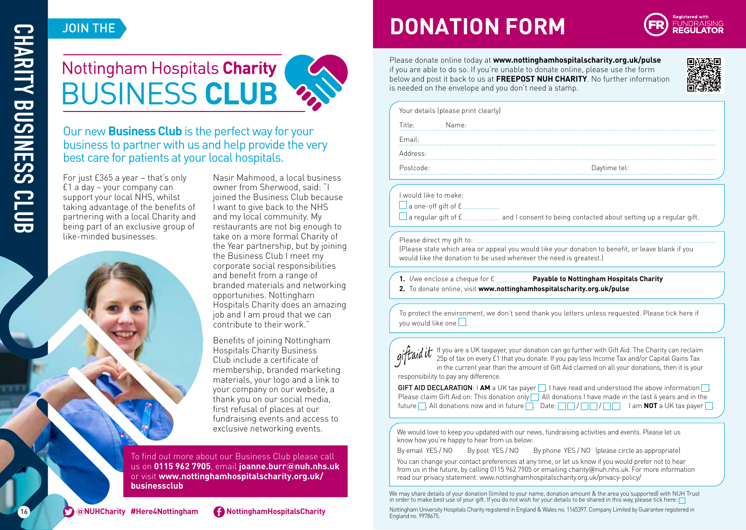### JOIN THE

# Nottingham Hospitals Charity **BUSINESS CLUB**



### Our new **Business Club** is the perfect way for your business to partner with us and help provide the very best care for patients at your local hospitals.

For just £365 a year – that's only £1 a day – your company can support your local NHS, whilst taking advantage of the benefits of partnering with a local Charity and being part of an exclusive group of like-minded businesses.

Nasir Mahmood, a local business owner from Sherwood, said: "I joined the Business Club because I want to give back to the NHS and my local community. My restaurants are not big enough to take on a more formal Charity of the Year partnership, but by joining the Business Club I meet my corporate social responsibilities and benefit from a range of branded materials and networking opportunities. Nottingham Hospitals Charity does an amazing iob and I am proud that we can contribute to their work."

Benefits of joining Nottingham Hospitals Charity Business Club include a certificate of membership, branded marketing materials, your logo and a link to your company on our website, a thank you on our social media, first refusal of places at our fundraising events and access to exclusive networking events.

To find out more about our Business Club please call us on **0115 962 7905**, email **joanne.burr@nuh.nhs.uk** or visit **www.nottinghamhospitalscharity.org.uk/ businessclub**

# **DONATION FORM**



Please donate online today at **www.nottinghamhospitalscharity.org.uk/pulse** if you are able to do so. If you're unable to donate online, please use the form below and post it back to us at **FREEPOST NUH CHARITY**. No further information is needed on the envelope and you don't need a stamp.



Your details (please print clearly)

Title: Name:

Email:

Address:

Postcode: Daytime tel:

I would like to make:

 $\Box$  a one-off gift of  $E$ .

 $\Box$  a regular gift of  $E$   $\Box$  and I consent to being contacted about setting up a regular gift.

### Please direct my gift to:

(Please state which area or appeal you would like your donation to benefit, or leave blank if you would like the donation to be used wherever the need is greatest.)

**1.** I/we enclose a cheque for £ **Payable to Nottingham Hospitals Charity 2.** To donate online, visit **www.nottinghamhospitalscharity.org.uk/pulse**

To protect the environment, we don't send thank you letters unless requested. Please tick here if you would like one  $\square$ .

If you are a UK taxpayer, your donation can go further with Gift Aid. The Charity can reclaim 25p of tax on every £1 that you donate. If you pay less Income Tax and/or Capital Gains Tax in the current year than the amount of Gift Aid claimed on all your donations, then it is your responsibility to pay any difference.

**GIFT AID DECLARATION: | AM** a UK tax payer  $\Box$  I have read and understood the above information  $\Box$ . Please claim Gift Aid on: This donation only  $\Box$ . All donations I have made in the last 4 years and in the future  $\Box$ . All donations now and in future  $\Box$ . Date:  $\Box$   $\Box$   $\Box$   $\Box$   $\Box$  I am **NOT** a UK tax payer  $\Box$ .

We would love to keep you updated with our news, fundraising activities and events. Please let us know how you're happy to hear from us below:

By email YES / NO By post YES / NO By phone YES / NO (please circle as appropriate) You can change your contact preferences at any time, or let us know if you would prefer not to hear from us in the future, by calling 0115 962 7905 or emailing charity@nuh.nhs.uk. For more information read our privacy statement: www.nottinghamhospitalscharity.org.uk/privacy-policy/

We may share details of your donation (limited to your name, donation amount & the area you supported) with NUH Trust in order to make best use of your gift. If you do not wish for your details to be shared in this way, please tick here:

Nottingham University Hospitals Charity registered in England & Wales no. 1165397. Company Limited by Guarantee registered in England no. 9978675.

O



16